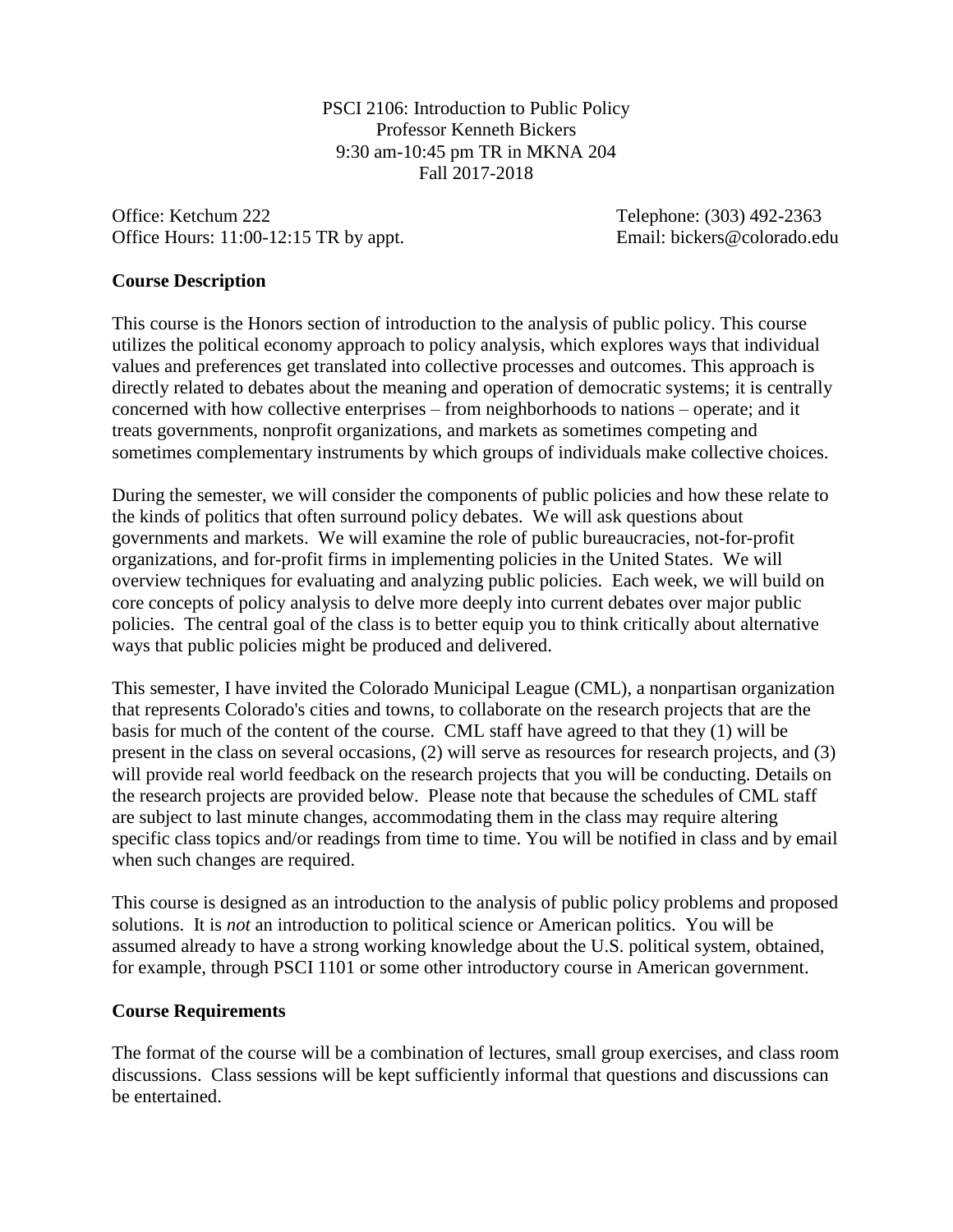PSCI 2106: Introduction to Public Policy Professor Kenneth Bickers 9:30 am-10:45 pm TR in MKNA 204 Fall 2017-2018

Office: Ketchum 222 Telephone: (303) 492-2363 Office Hours: 11:00-12:15 TR by appt. Email: bickers@colorado.edu

#### **Course Description**

This course is the Honors section of introduction to the analysis of public policy. This course utilizes the political economy approach to policy analysis, which explores ways that individual values and preferences get translated into collective processes and outcomes. This approach is directly related to debates about the meaning and operation of democratic systems; it is centrally concerned with how collective enterprises – from neighborhoods to nations – operate; and it treats governments, nonprofit organizations, and markets as sometimes competing and sometimes complementary instruments by which groups of individuals make collective choices.

During the semester, we will consider the components of public policies and how these relate to the kinds of politics that often surround policy debates. We will ask questions about governments and markets. We will examine the role of public bureaucracies, not-for-profit organizations, and for-profit firms in implementing policies in the United States. We will overview techniques for evaluating and analyzing public policies. Each week, we will build on core concepts of policy analysis to delve more deeply into current debates over major public policies. The central goal of the class is to better equip you to think critically about alternative ways that public policies might be produced and delivered.

This semester, I have invited the Colorado Municipal League (CML), a nonpartisan organization that represents Colorado's cities and towns, to collaborate on the research projects that are the basis for much of the content of the course. CML staff have agreed to that they (1) will be present in the class on several occasions, (2) will serve as resources for research projects, and (3) will provide real world feedback on the research projects that you will be conducting. Details on the research projects are provided below. Please note that because the schedules of CML staff are subject to last minute changes, accommodating them in the class may require altering specific class topics and/or readings from time to time. You will be notified in class and by email when such changes are required.

This course is designed as an introduction to the analysis of public policy problems and proposed solutions. It is *not* an introduction to political science or American politics. You will be assumed already to have a strong working knowledge about the U.S. political system, obtained, for example, through PSCI 1101 or some other introductory course in American government.

#### **Course Requirements**

The format of the course will be a combination of lectures, small group exercises, and class room discussions. Class sessions will be kept sufficiently informal that questions and discussions can be entertained.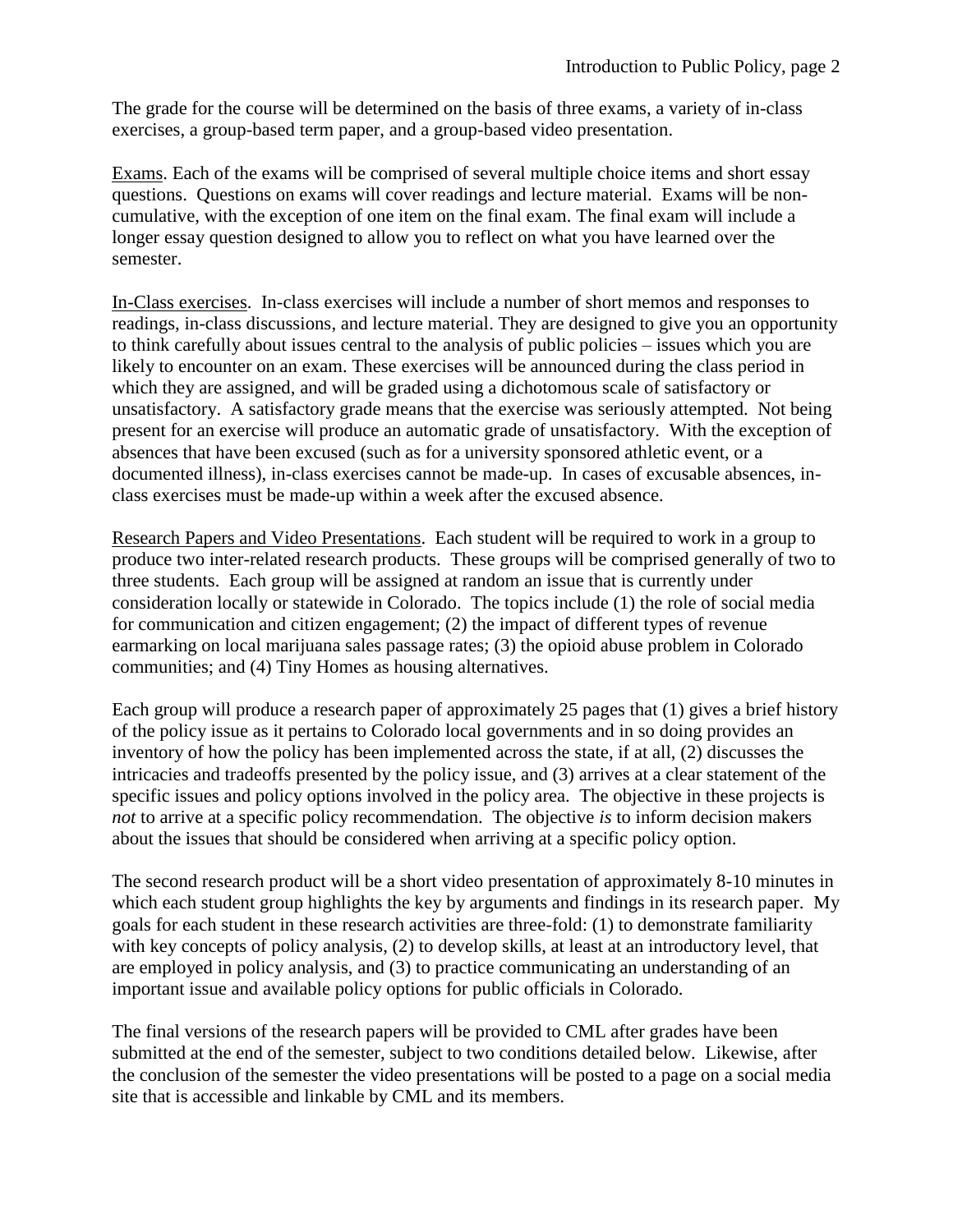The grade for the course will be determined on the basis of three exams, a variety of in-class exercises, a group-based term paper, and a group-based video presentation.

Exams. Each of the exams will be comprised of several multiple choice items and short essay questions. Questions on exams will cover readings and lecture material. Exams will be noncumulative, with the exception of one item on the final exam. The final exam will include a longer essay question designed to allow you to reflect on what you have learned over the semester.

In-Class exercises. In-class exercises will include a number of short memos and responses to readings, in-class discussions, and lecture material. They are designed to give you an opportunity to think carefully about issues central to the analysis of public policies – issues which you are likely to encounter on an exam. These exercises will be announced during the class period in which they are assigned, and will be graded using a dichotomous scale of satisfactory or unsatisfactory. A satisfactory grade means that the exercise was seriously attempted. Not being present for an exercise will produce an automatic grade of unsatisfactory. With the exception of absences that have been excused (such as for a university sponsored athletic event, or a documented illness), in-class exercises cannot be made-up. In cases of excusable absences, inclass exercises must be made-up within a week after the excused absence.

Research Papers and Video Presentations. Each student will be required to work in a group to produce two inter-related research products. These groups will be comprised generally of two to three students. Each group will be assigned at random an issue that is currently under consideration locally or statewide in Colorado. The topics include (1) the role of social media for communication and citizen engagement; (2) the impact of different types of revenue earmarking on local marijuana sales passage rates; (3) the opioid abuse problem in Colorado communities; and (4) Tiny Homes as housing alternatives.

Each group will produce a research paper of approximately 25 pages that (1) gives a brief history of the policy issue as it pertains to Colorado local governments and in so doing provides an inventory of how the policy has been implemented across the state, if at all, (2) discusses the intricacies and tradeoffs presented by the policy issue, and (3) arrives at a clear statement of the specific issues and policy options involved in the policy area. The objective in these projects is *not* to arrive at a specific policy recommendation. The objective *is* to inform decision makers about the issues that should be considered when arriving at a specific policy option.

The second research product will be a short video presentation of approximately 8-10 minutes in which each student group highlights the key by arguments and findings in its research paper. My goals for each student in these research activities are three-fold: (1) to demonstrate familiarity with key concepts of policy analysis, (2) to develop skills, at least at an introductory level, that are employed in policy analysis, and (3) to practice communicating an understanding of an important issue and available policy options for public officials in Colorado.

The final versions of the research papers will be provided to CML after grades have been submitted at the end of the semester, subject to two conditions detailed below. Likewise, after the conclusion of the semester the video presentations will be posted to a page on a social media site that is accessible and linkable by CML and its members.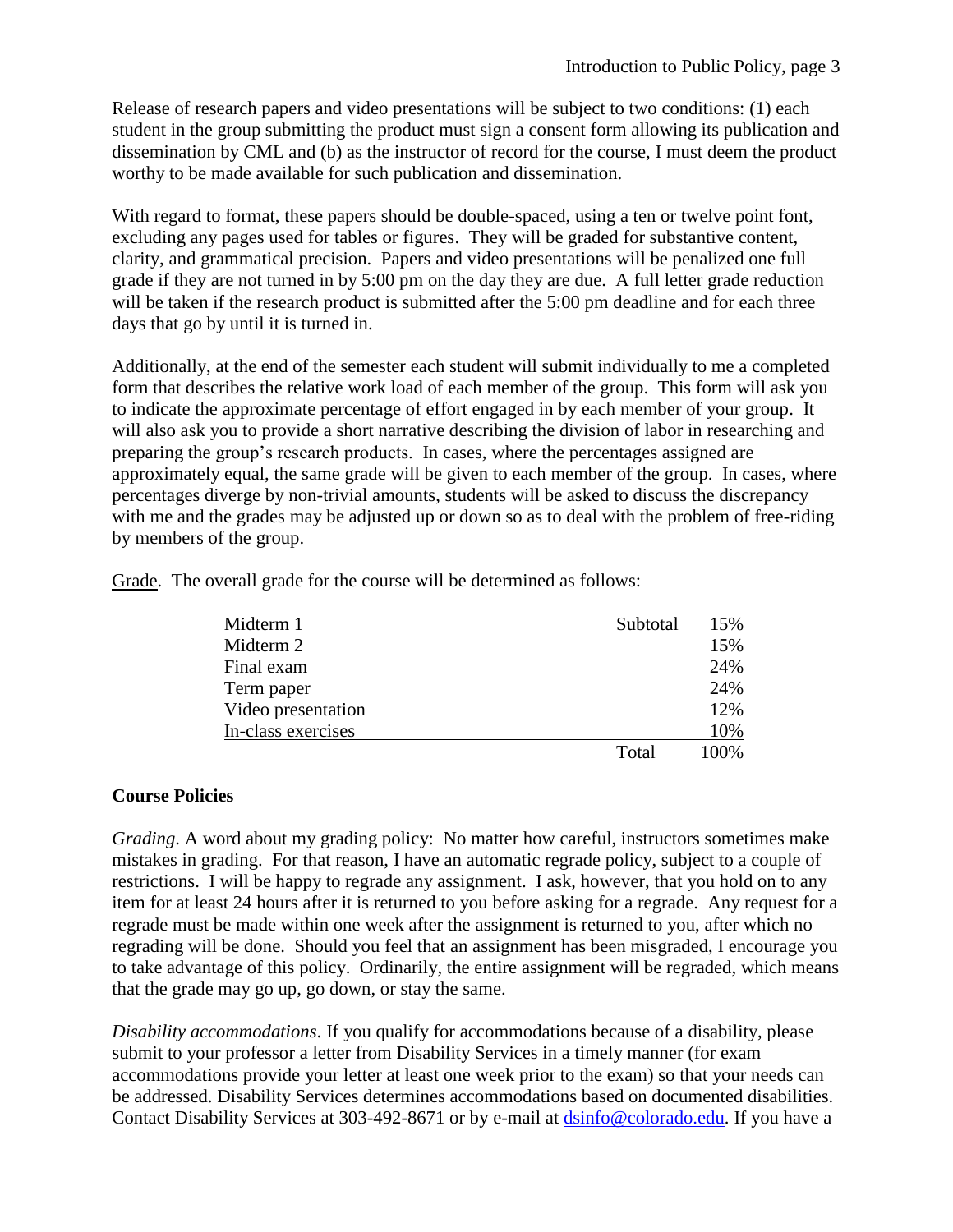Release of research papers and video presentations will be subject to two conditions: (1) each student in the group submitting the product must sign a consent form allowing its publication and dissemination by CML and (b) as the instructor of record for the course, I must deem the product worthy to be made available for such publication and dissemination.

With regard to format, these papers should be double-spaced, using a ten or twelve point font, excluding any pages used for tables or figures. They will be graded for substantive content, clarity, and grammatical precision. Papers and video presentations will be penalized one full grade if they are not turned in by 5:00 pm on the day they are due. A full letter grade reduction will be taken if the research product is submitted after the 5:00 pm deadline and for each three days that go by until it is turned in.

Additionally, at the end of the semester each student will submit individually to me a completed form that describes the relative work load of each member of the group. This form will ask you to indicate the approximate percentage of effort engaged in by each member of your group. It will also ask you to provide a short narrative describing the division of labor in researching and preparing the group's research products. In cases, where the percentages assigned are approximately equal, the same grade will be given to each member of the group. In cases, where percentages diverge by non-trivial amounts, students will be asked to discuss the discrepancy with me and the grades may be adjusted up or down so as to deal with the problem of free-riding by members of the group.

| Midterm 1          | Subtotal | 15%  |
|--------------------|----------|------|
| Midterm 2          |          | 15%  |
| Final exam         |          | 24%  |
| Term paper         |          | 24%  |
| Video presentation |          | 12%  |
| In-class exercises |          | 10%  |
|                    | Total    | 100% |

Grade. The overall grade for the course will be determined as follows:

### **Course Policies**

*Grading*. A word about my grading policy: No matter how careful, instructors sometimes make mistakes in grading. For that reason, I have an automatic regrade policy, subject to a couple of restrictions. I will be happy to regrade any assignment. I ask, however, that you hold on to any item for at least 24 hours after it is returned to you before asking for a regrade. Any request for a regrade must be made within one week after the assignment is returned to you, after which no regrading will be done. Should you feel that an assignment has been misgraded, I encourage you to take advantage of this policy. Ordinarily, the entire assignment will be regraded, which means that the grade may go up, go down, or stay the same.

*Disability accommodations*. If you qualify for accommodations because of a disability, please submit to your professor a letter from Disability Services in a timely manner (for exam accommodations provide your letter at least one week prior to the exam) so that your needs can be addressed. Disability Services determines accommodations based on documented disabilities. Contact Disability Services at 303-492-8671 or by e-mail at [dsinfo@colorado.edu.](mailto:dsinfo@colorado.edu) If you have a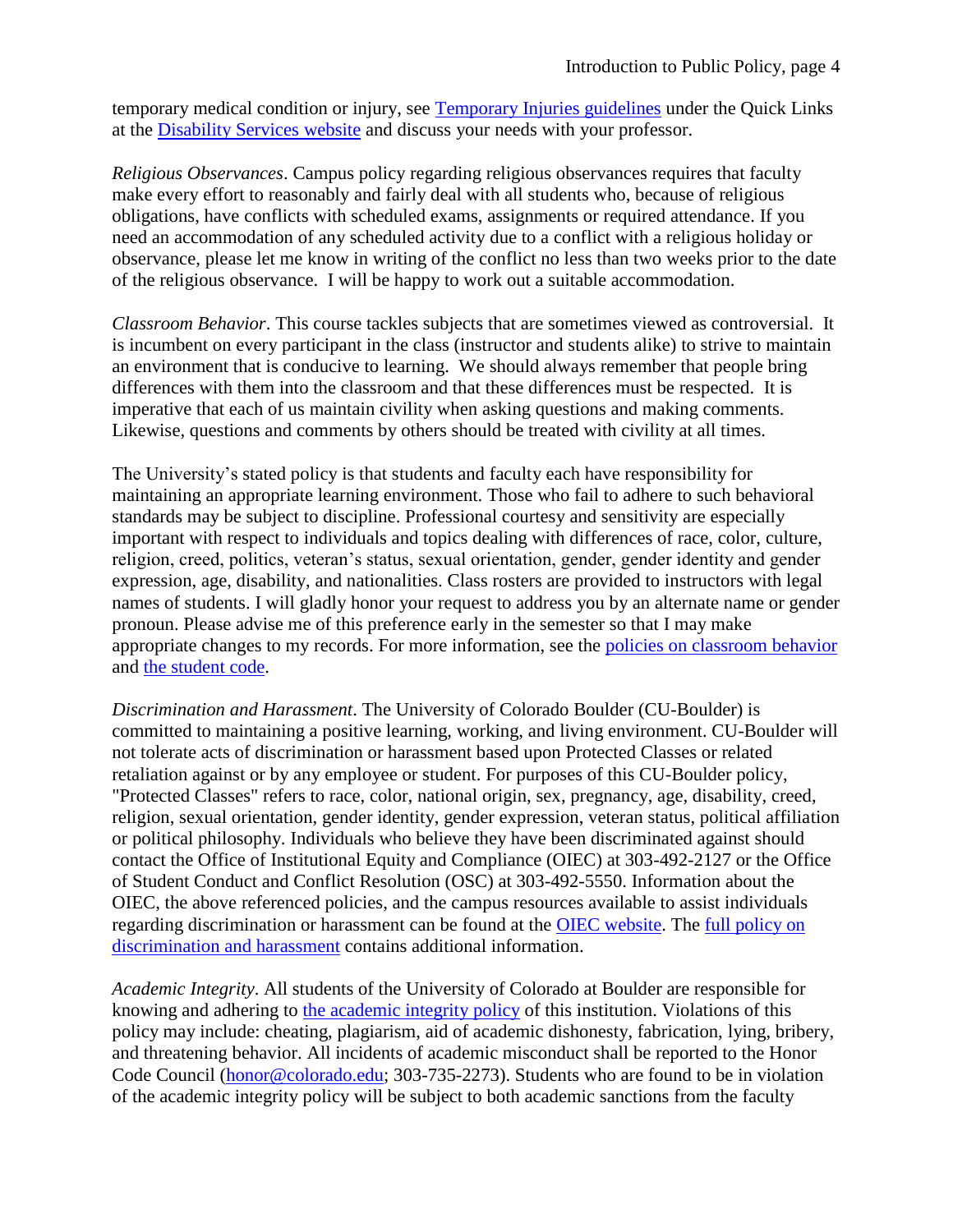temporary medical condition or injury, see [Temporary Injuries guidelines](http://www.alumniconnections.com/links/link.cgi?l=6681985&h=136804&e=UCBI-20150813152414) under the Quick Links at the [Disability Services website](http://www.alumniconnections.com/links/link.cgi?l=6681986&h=136804&e=UCBI-20150813152414) and discuss your needs with your professor.

*Religious Observances*. Campus policy regarding religious observances requires that faculty make every effort to reasonably and fairly deal with all students who, because of religious obligations, have conflicts with scheduled exams, assignments or required attendance. If you need an accommodation of any scheduled activity due to a conflict with a religious holiday or observance, please let me know in writing of the conflict no less than two weeks prior to the date of the religious observance. I will be happy to work out a suitable accommodation.

*Classroom Behavior*. This course tackles subjects that are sometimes viewed as controversial. It is incumbent on every participant in the class (instructor and students alike) to strive to maintain an environment that is conducive to learning. We should always remember that people bring differences with them into the classroom and that these differences must be respected. It is imperative that each of us maintain civility when asking questions and making comments. Likewise, questions and comments by others should be treated with civility at all times.

The University's stated policy is that students and faculty each have responsibility for maintaining an appropriate learning environment. Those who fail to adhere to such behavioral standards may be subject to discipline. Professional courtesy and sensitivity are especially important with respect to individuals and topics dealing with differences of race, color, culture, religion, creed, politics, veteran's status, sexual orientation, gender, gender identity and gender expression, age, disability, and nationalities. Class rosters are provided to instructors with legal names of students. I will gladly honor your request to address you by an alternate name or gender pronoun. Please advise me of this preference early in the semester so that I may make appropriate changes to my records. For more information, see the [policies on classroom behavior](http://www.alumniconnections.com/links/link.cgi?l=6681992&h=136804&e=UCBI-20150813152414) and [the student code.](http://www.alumniconnections.com/links/link.cgi?l=6681993&h=136804&e=UCBI-20150813152414)

*Discrimination and Harassment*. The University of Colorado Boulder (CU-Boulder) is committed to maintaining a positive learning, working, and living environment. CU-Boulder will not tolerate acts of discrimination or harassment based upon Protected Classes or related retaliation against or by any employee or student. For purposes of this CU-Boulder policy, "Protected Classes" refers to race, color, national origin, sex, pregnancy, age, disability, creed, religion, sexual orientation, gender identity, gender expression, veteran status, political affiliation or political philosophy. Individuals who believe they have been discriminated against should contact the Office of Institutional Equity and Compliance (OIEC) at 303-492-2127 or the Office of Student Conduct and Conflict Resolution (OSC) at 303-492-5550. Information about the OIEC, the above referenced policies, and the campus resources available to assist individuals regarding discrimination or harassment can be found at the [OIEC website.](http://www.alumniconnections.com/links/link.cgi?l=6681994&h=136804&e=UCBI-20150813152414) The [full policy on](http://www.alumniconnections.com/links/link.cgi?l=6681995&h=136804&e=UCBI-20150813152414)  [discrimination and harassment](http://www.alumniconnections.com/links/link.cgi?l=6681995&h=136804&e=UCBI-20150813152414) contains additional information.

*Academic Integrity*. All students of the University of Colorado at Boulder are responsible for knowing and adhering to [the academic integrity policy](http://www.alumniconnections.com/links/link.cgi?l=6681998&h=136804&e=UCBI-20150813152414) of this institution. Violations of this policy may include: cheating, plagiarism, aid of academic dishonesty, fabrication, lying, bribery, and threatening behavior. All incidents of academic misconduct shall be reported to the Honor Code Council [\(honor@colorado.edu;](mailto:honor@colorado.edu) 303-735-2273). Students who are found to be in violation of the academic integrity policy will be subject to both academic sanctions from the faculty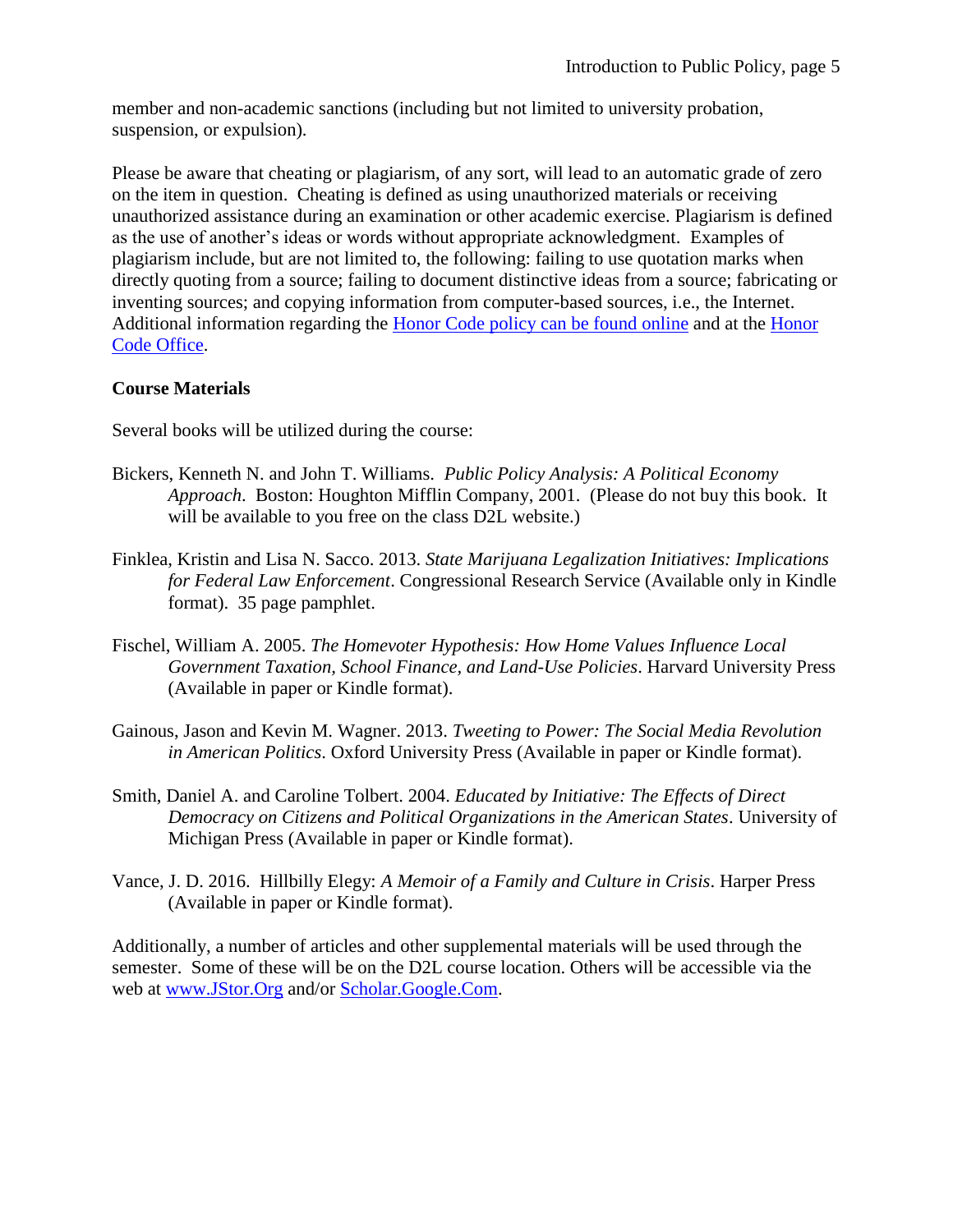member and non-academic sanctions (including but not limited to university probation, suspension, or expulsion).

Please be aware that cheating or plagiarism, of any sort, will lead to an automatic grade of zero on the item in question. Cheating is defined as using unauthorized materials or receiving unauthorized assistance during an examination or other academic exercise. Plagiarism is defined as the use of another's ideas or words without appropriate acknowledgment. Examples of plagiarism include, but are not limited to, the following: failing to use quotation marks when directly quoting from a source; failing to document distinctive ideas from a source; fabricating or inventing sources; and copying information from computer-based sources, i.e., the Internet. Additional information regarding the [Honor Code policy can be found online](http://www.alumniconnections.com/links/link.cgi?l=6681999&h=136804&e=UCBI-20150813152414) and at the [Honor](http://www.alumniconnections.com/links/link.cgi?l=6682000&h=136804&e=UCBI-20150813152414)  [Code Office.](http://www.alumniconnections.com/links/link.cgi?l=6682000&h=136804&e=UCBI-20150813152414)

### **Course Materials**

Several books will be utilized during the course:

- Bickers, Kenneth N. and John T. Williams. *Public Policy Analysis: A Political Economy Approach*. Boston: Houghton Mifflin Company, 2001. (Please do not buy this book. It will be available to you free on the class D2L website.)
- Finklea, Kristin and Lisa N. Sacco. 2013. *State Marijuana Legalization Initiatives: Implications for Federal Law Enforcement*. Congressional Research Service (Available only in Kindle format). 35 page pamphlet.
- Fischel, William A. 2005. *The Homevoter Hypothesis: How Home Values Influence Local Government Taxation, School Finance, and Land-Use Policies*. Harvard University Press (Available in paper or Kindle format).
- Gainous, Jason and Kevin M. Wagner. 2013. *Tweeting to Power: The Social Media Revolution in American Politics*. Oxford University Press (Available in paper or Kindle format).
- Smith, Daniel A. and Caroline Tolbert. 2004. *Educated by Initiative: The Effects of Direct Democracy on Citizens and Political Organizations in the American States*. University of Michigan Press (Available in paper or Kindle format).
- Vance, J. D. 2016. Hillbilly Elegy: *A Memoir of a Family and Culture in Crisis*. Harper Press (Available in paper or Kindle format).

Additionally, a number of articles and other supplemental materials will be used through the semester. Some of these will be on the D2L course location. Others will be accessible via the web at [www.JStor.Org](http://www.jstor.org/) and/or [Scholar.Google.Com.](https://scholar.google.com/)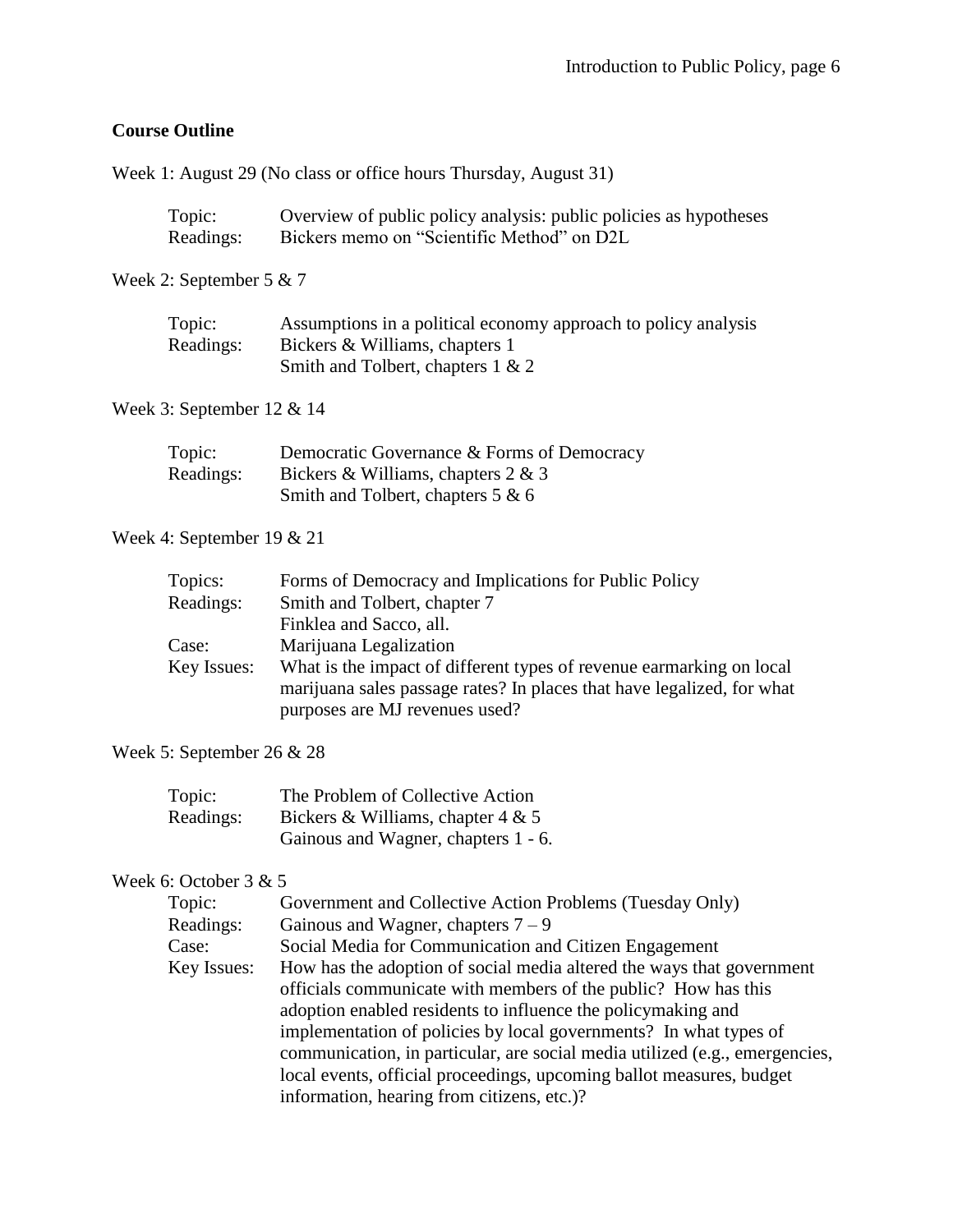## **Course Outline**

Week 1: August 29 (No class or office hours Thursday, August 31)

| Topic:    | Overview of public policy analysis: public policies as hypotheses |
|-----------|-------------------------------------------------------------------|
| Readings: | Bickers memo on "Scientific Method" on D2L                        |

Week 2: September 5 & 7

| Topic:    | Assumptions in a political economy approach to policy analysis |
|-----------|----------------------------------------------------------------|
| Readings: | Bickers & Williams, chapters 1                                 |
|           | Smith and Tolbert, chapters 1 & 2                              |

## Week 3: September 12 & 14

| Topic:    | Democratic Governance & Forms of Democracy |
|-----------|--------------------------------------------|
| Readings: | Bickers & Williams, chapters $2 & 3$       |
|           | Smith and Tolbert, chapters $5 & 6$        |

## Week 4: September 19 & 21

| What is the impact of different types of revenue earmarking on local   |
|------------------------------------------------------------------------|
| marijuana sales passage rates? In places that have legalized, for what |
|                                                                        |
|                                                                        |

### Week 5: September 26 & 28

| Topic:    | The Problem of Collective Action    |
|-----------|-------------------------------------|
| Readings: | Bickers & Williams, chapter $4 & 5$ |
|           | Gainous and Wagner, chapters 1 - 6. |

# Week 6: October 3 & 5

| Topic:      | Government and Collective Action Problems (Tuesday Only)                    |
|-------------|-----------------------------------------------------------------------------|
| Readings:   | Gainous and Wagner, chapters $7 - 9$                                        |
| Case:       | Social Media for Communication and Citizen Engagement                       |
| Key Issues: | How has the adoption of social media altered the ways that government       |
|             | officials communicate with members of the public? How has this              |
|             | adoption enabled residents to influence the policymaking and                |
|             | implementation of policies by local governments? In what types of           |
|             | communication, in particular, are social media utilized (e.g., emergencies, |
|             | local events, official proceedings, upcoming ballot measures, budget        |
|             | information, hearing from citizens, etc.)?                                  |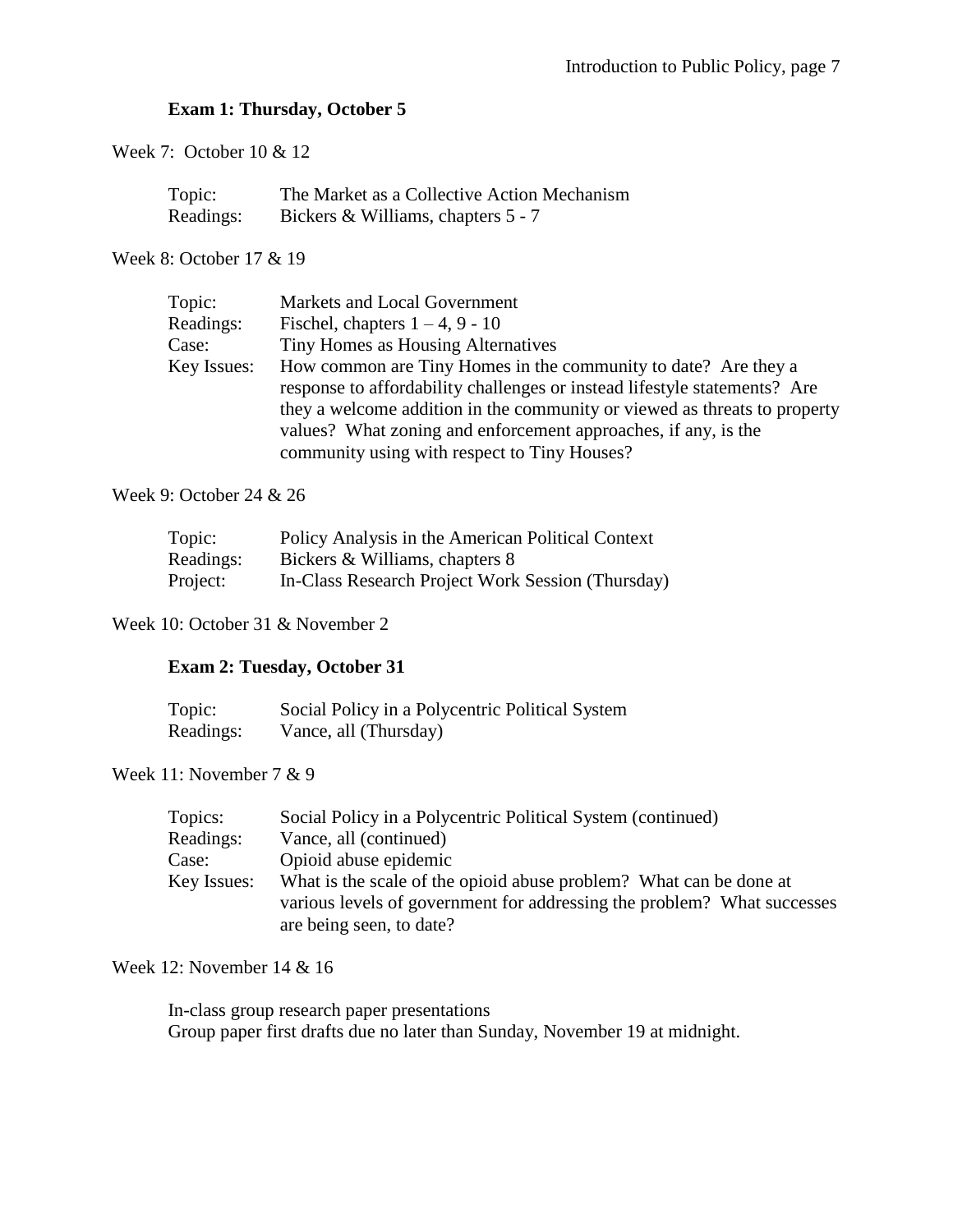### **Exam 1: Thursday, October 5**

Week 7: October 10 & 12

| Topic:    | The Market as a Collective Action Mechanism |
|-----------|---------------------------------------------|
| Readings: | Bickers & Williams, chapters 5 - 7          |

Week 8: October 17 & 19

| Topic:      | Markets and Local Government                                              |
|-------------|---------------------------------------------------------------------------|
| Readings:   | Fischel, chapters $1 - 4$ , 9 - 10                                        |
| Case:       | Tiny Homes as Housing Alternatives                                        |
| Key Issues: | How common are Tiny Homes in the community to date? Are they a            |
|             | response to affordability challenges or instead lifestyle statements? Are |
|             | they a welcome addition in the community or viewed as threats to property |
|             | values? What zoning and enforcement approaches, if any, is the            |
|             | community using with respect to Tiny Houses?                              |
|             |                                                                           |

Week 9: October 24 & 26

| Topic:    | Policy Analysis in the American Political Context |
|-----------|---------------------------------------------------|
| Readings: | Bickers & Williams, chapters 8                    |
| Project:  | In-Class Research Project Work Session (Thursday) |

Week 10: October 31 & November 2

### **Exam 2: Tuesday, October 31**

| Topic:    | Social Policy in a Polycentric Political System |
|-----------|-------------------------------------------------|
| Readings: | Vance, all (Thursday)                           |

Week 11: November 7 & 9

| Topics:     | Social Policy in a Polycentric Political System (continued)             |
|-------------|-------------------------------------------------------------------------|
| Readings:   | Vance, all (continued)                                                  |
| Case:       | Opioid abuse epidemic                                                   |
| Key Issues: | What is the scale of the opioid abuse problem? What can be done at      |
|             | various levels of government for addressing the problem? What successes |
|             | are being seen, to date?                                                |

#### Week 12: November 14 & 16

In-class group research paper presentations Group paper first drafts due no later than Sunday, November 19 at midnight.